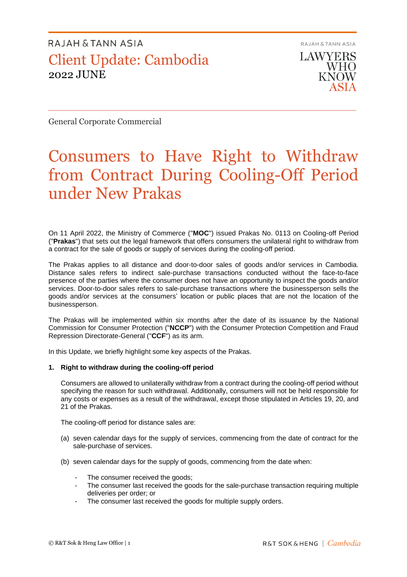RAJAH & TANN ASIA **LAWYERS** 

**WHO** KNOW

General Corporate Commercial

# Consumers to Have Right to Withdraw from Contract During Cooling-Off Period under New Prakas

On 11 April 2022, the Ministry of Commerce ("**MOC**") issued Prakas No. 0113 on Cooling-off Period ("**Prakas**") that sets out the legal framework that offers consumers the unilateral right to withdraw from a contract for the sale of goods or supply of services during the cooling-off period.

The Prakas applies to all distance and door-to-door sales of goods and/or services in Cambodia. Distance sales refers to indirect sale-purchase transactions conducted without the face-to-face presence of the parties where the consumer does not have an opportunity to inspect the goods and/or services. Door-to-door sales refers to sale-purchase transactions where the businessperson sells the goods and/or services at the consumers' location or public places that are not the location of the businessperson.

The Prakas will be implemented within six months after the date of its issuance by the National Commission for Consumer Protection ("**NCCP**") with the Consumer Protection Competition and Fraud Repression Directorate-General ("**CCF**") as its arm.

In this Update, we briefly highlight some key aspects of the Prakas.

#### **1. Right to withdraw during the cooling-off period**

Consumers are allowed to unilaterally withdraw from a contract during the cooling-off period without specifying the reason for such withdrawal. Additionally, consumers will not be held responsible for any costs or expenses as a result of the withdrawal, except those stipulated in Articles 19, 20, and 21 of the Prakas.

The cooling-off period for distance sales are:

- (a) seven calendar days for the supply of services, commencing from the date of contract for the sale-purchase of services.
- (b) seven calendar days for the supply of goods, commencing from the date when:
	- The consumer received the goods;
	- The consumer last received the goods for the sale-purchase transaction requiring multiple deliveries per order; or
	- The consumer last received the goods for multiple supply orders.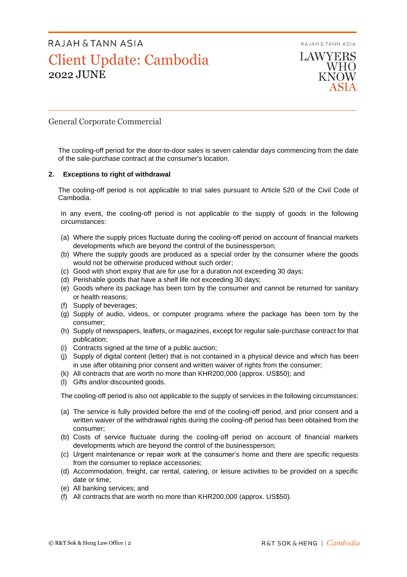



## General Corporate Commercial

The cooling-off period for the door-to-door sales is seven calendar days commencing from the date of the sale-purchase contract at the consumer's location.

#### **2. Exceptions to right of withdrawal**

The cooling-off period is not applicable to trial sales pursuant to Article 520 of the Civil Code of Cambodia.

In any event, the cooling-off period is not applicable to the supply of goods in the following circumstances:

- (a) Where the supply prices fluctuate during the cooling-off period on account of financial markets developments which are beyond the control of the businessperson;
- (b) Where the supply goods are produced as a special order by the consumer where the goods would not be otherwise produced without such order;
- (c) Good with short expiry that are for use for a duration not exceeding 30 days;
- (d) Perishable goods that have a shelf life not exceeding 30 days;
- (e) Goods where its package has been torn by the consumer and cannot be returned for sanitary or health reasons;
- (f) Supply of beverages;
- (g) Supply of audio, videos, or computer programs where the package has been torn by the consumer;
- (h) Supply of newspapers, leaflets, or magazines, except for regular sale-purchase contract for that publication;
- (i) Contracts signed at the time of a public auction;
- (j) Supply of digital content (letter) that is not contained in a physical device and which has been in use after obtaining prior consent and written waiver of rights from the consumer;
- (k) All contracts that are worth no more than KHR200,000 (approx. US\$50); and
- (l) Gifts and/or discounted goods.

The cooling-off period is also not applicable to the supply of services in the following circumstances:

- (a) The service is fully provided before the end of the cooling-off period, and prior consent and a written waiver of the withdrawal rights during the cooling-off period has been obtained from the consumer;
- (b) Costs of service fluctuate during the cooling-off period on account of financial markets developments which are beyond the control of the businessperson;
- (c) Urgent maintenance or repair work at the consumer's home and there are specific requests from the consumer to replace accessories;
- (d) Accommodation, freight, car rental, catering, or leisure activities to be provided on a specific date or time;
- (e) All banking services; and
- (f) All contracts that are worth no more than KHR200,000 (approx. US\$50).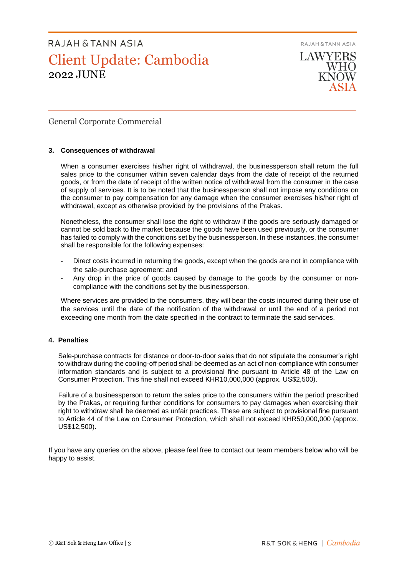RAJAH & TANN ASIA



General Corporate Commercial

#### **3. Consequences of withdrawal**

When a consumer exercises his/her right of withdrawal, the businessperson shall return the full sales price to the consumer within seven calendar days from the date of receipt of the returned goods, or from the date of receipt of the written notice of withdrawal from the consumer in the case of supply of services. It is to be noted that the businessperson shall not impose any conditions on the consumer to pay compensation for any damage when the consumer exercises his/her right of withdrawal, except as otherwise provided by the provisions of the Prakas.

Nonetheless, the consumer shall lose the right to withdraw if the goods are seriously damaged or cannot be sold back to the market because the goods have been used previously, or the consumer has failed to comply with the conditions set by the businessperson. In these instances, the consumer shall be responsible for the following expenses:

- Direct costs incurred in returning the goods, except when the goods are not in compliance with the sale-purchase agreement; and
- Any drop in the price of goods caused by damage to the goods by the consumer or noncompliance with the conditions set by the businessperson.

Where services are provided to the consumers, they will bear the costs incurred during their use of the services until the date of the notification of the withdrawal or until the end of a period not exceeding one month from the date specified in the contract to terminate the said services.

### **4. Penalties**

Sale-purchase contracts for distance or door-to-door sales that do not stipulate the consumer's right to withdraw during the cooling-off period shall be deemed as an act of non-compliance with consumer information standards and is subject to a provisional fine pursuant to Article 48 of the Law on Consumer Protection. This fine shall not exceed KHR10,000,000 (approx. US\$2,500).

Failure of a businessperson to return the sales price to the consumers within the period prescribed by the Prakas, or requiring further conditions for consumers to pay damages when exercising their right to withdraw shall be deemed as unfair practices. These are subject to provisional fine pursuant to Article 44 of the Law on Consumer Protection, which shall not exceed KHR50,000,000 (approx. US\$12,500).

If you have any queries on the above, please feel free to contact our team members below who will be happy to assist.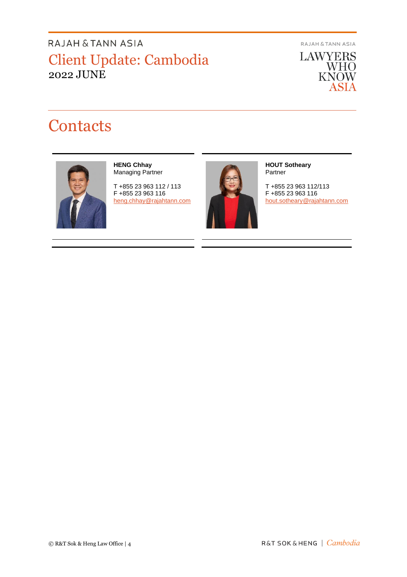RAJAH & TANN ASIA

**LAWYERS** WHO<br>KNOW **ASIA** 

# **Contacts**



#### **HENG Chhay** Managing Partner

T +855 23 963 112 / 113 F +855 23 963 116 [heng.chhay@rajahtann.com](mailto:heng.chhay@rajahtann.com)



#### **HOUT Sotheary** Partner

T +855 23 963 112/113 F +855 23 963 116 [hout.sotheary@rajahtann.com](mailto:hout.sotheary@rajahtann.com)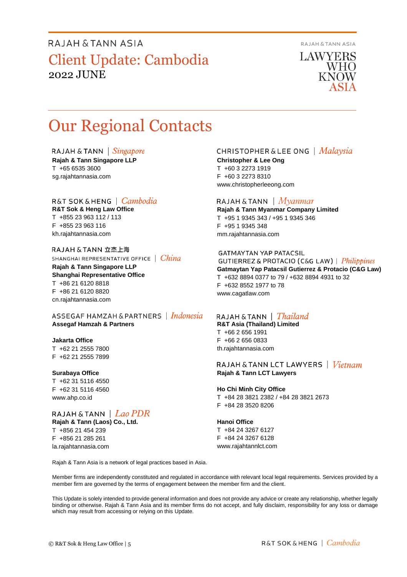RAJAH & TANN ASIA

**LAWYERS** WHO **KNOW** 

# Our Regional Contacts

RAJAH & TANN | Singapore **Rajah & Tann Singapore LLP** T +65 6535 3600 sg.rajahtannasia.com

#### R&T SOK&HENG | *Cambodia*

**R&T Sok & Heng Law Office** T +855 23 963 112 / 113 F +855 23 963 116 kh.rajahtannasia.com

RAJAH & TANN 立杰上海 SHANGHAI REPRESENTATIVE OFFICE | China

**Rajah & Tann Singapore LLP Shanghai Representative Office** T +86 21 6120 8818 F +86 21 6120 8820 cn.rajahtannasia.com

ASSEGAF HAMZAH & PARTNERS | Indonesia **Assegaf Hamzah & Partners**

#### **Jakarta Office**

T +62 21 2555 7800 F +62 21 2555 7899

#### **Surabaya Office**

T +62 31 5116 4550 F +62 31 5116 4560 www.ahp.co.id

## RAJAH & TANN  $|$  *Lao PDR*

**Rajah & Tann (Laos) Co., Ltd.** T +856 21 454 239 F +856 21 285 261 la.rajahtannasia.com

### **CHRISTOPHER & LEE ONG** | Malaysia

**Christopher & Lee Ong** T +60 3 2273 1919 F +60 3 2273 8310 www.christopherleeong.com

#### RAJAH & TANN  $\mid$  *Myanmar*

**Rajah & Tann Myanmar Company Limited** T +95 1 9345 343 / +95 1 9345 346 F +95 1 9345 348 mm.rajahtannasia.com

### **GATMAYTAN YAP PATACSIL**

**GUTIERREZ & PROTACIO (C&G LAW)** | *Philippines* **Gatmaytan Yap Patacsil Gutierrez & Protacio (C&G Law)**  T +632 8894 0377 to 79 / +632 8894 4931 to 32 F +632 8552 1977 to 78 www.cagatlaw.com

### RAJAH & TANN | *Thailand*

**R&T Asia (Thailand) Limited** T +66 2 656 1991 F +66 2 656 0833 th.rajahtannasia.com

#### RAJAH & TANN LCT LAWYERS | *Vietnam* **Rajah & Tann LCT Lawyers**

#### **Ho Chi Minh City Office**

T +84 28 3821 2382 / +84 28 3821 2673 F +84 28 3520 8206

#### **Hanoi Office**

T +84 24 3267 6127 F +84 24 3267 6128 www.rajahtannlct.com

Rajah & Tann Asia is a network of legal practices based in Asia.

Member firms are independently constituted and regulated in accordance with relevant local legal requirements. Services provided by a member firm are governed by the terms of engagement between the member firm and the client.

This Update is solely intended to provide general information and does not provide any advice or create any relationship, whether legally binding or otherwise. Rajah & Tann Asia and its member firms do not accept, and fully disclaim, responsibility for any loss or damage which may result from accessing or relying on this Update.